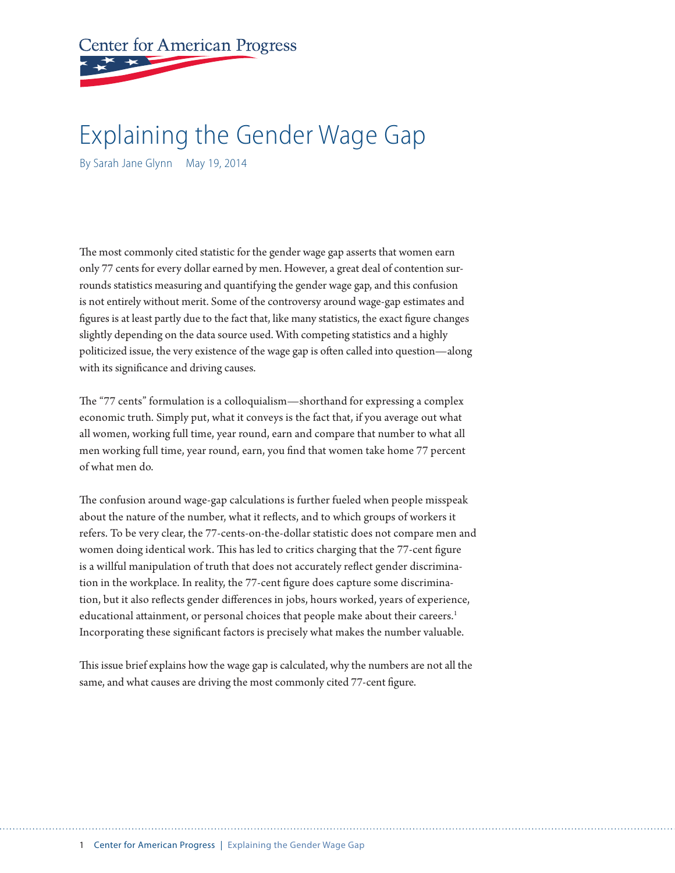**Center for American Progress** 

# Explaining the Gender Wage Gap

By Sarah Jane Glynn May 19, 2014

The most commonly cited statistic for the gender wage gap asserts that women earn only 77 cents for every dollar earned by men. However, a great deal of contention surrounds statistics measuring and quantifying the gender wage gap, and this confusion is not entirely without merit. Some of the controversy around wage-gap estimates and figures is at least partly due to the fact that, like many statistics, the exact figure changes slightly depending on the data source used. With competing statistics and a highly politicized issue, the very existence of the wage gap is often called into question—along with its significance and driving causes.

The "77 cents" formulation is a colloquialism—shorthand for expressing a complex economic truth. Simply put, what it conveys is the fact that, if you average out what all women, working full time, year round, earn and compare that number to what all men working full time, year round, earn, you find that women take home 77 percent of what men do.

The confusion around wage-gap calculations is further fueled when people misspeak about the nature of the number, what it reflects, and to which groups of workers it refers. To be very clear, the 77-cents-on-the-dollar statistic does not compare men and women doing identical work. This has led to critics charging that the 77-cent figure is a willful manipulation of truth that does not accurately reflect gender discrimination in the workplace. In reality, the 77-cent figure does capture some discrimination, but it also reflects gender differences in jobs, hours worked, years of experience, educational attainment, or personal choices that people make about their careers.<sup>1</sup> Incorporating these significant factors is precisely what makes the number valuable.

This issue brief explains how the wage gap is calculated, why the numbers are not all the same, and what causes are driving the most commonly cited 77-cent figure.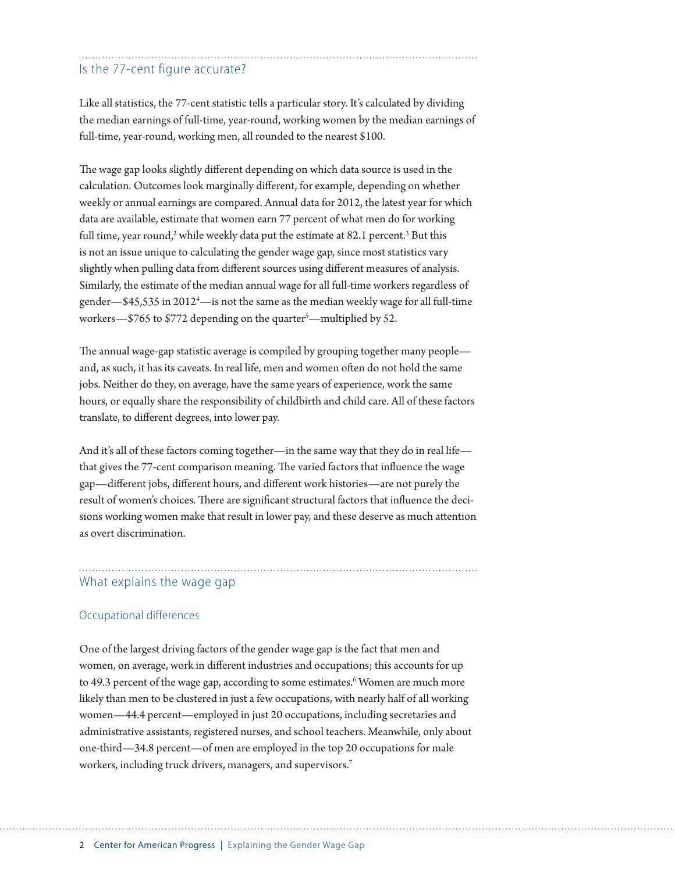### Is the 77-cent figure accurate?

Like all statistics, the 77-cent statistic tells a particular story. It's calculated by dividing the median earnings of full-time, year-round, working women by the median earnings of full-time, year-round, working men, all rounded to the nearest \$100.

The wage gap looks slightly different depending on which data source is used in the calculation. Outcomes look marginally different, for example, depending on whether weekly or annual earnings are compared. Annual data for 2012, the latest year for which data are available, estimate that women earn 77 percent of what men do for working full time, year round,<sup>2</sup> while weekly data put the estimate at 82.1 percent.<sup>3</sup> But this is not an issue unique to calculating the gender wage gap, since most statistics vary slightly when pulling data from different sources using different measures of analysis. Similarly, the estimate of the median annual wage for all full-time workers regardless of gender—\$45,535 in 2012<sup>4</sup>—is not the same as the median weekly wage for all full-time workers—\$765 to \$772 depending on the quarter<sup>s</sup>—multiplied by 52.

The annual wage-gap statistic average is compiled by grouping together many people and, as such, it has its caveats. In real life, men and women often do not hold the same jobs. Neither do they, on average, have the same years of experience, work the same hours, or equally share the responsibility of childbirth and child care. All of these factors translate, to different degrees, into lower pay.

And it's all of these factors coming together—in the same way that they do in real life that gives the 77-cent comparison meaning. The varied factors that influence the wage gap—different jobs, different hours, and different work histories—are not purely the result of women's choices. There are significant structural factors that influence the decisions working women make that result in lower pay, and these deserve as much attention as overt discrimination.

## What explains the wage gap

#### Occupational differences

One of the largest driving factors of the gender wage gap is the fact that men and women, on average, work in different industries and occupations; this accounts for up to 49.3 percent of the wage gap, according to some estimates.<sup>6</sup> Women are much more likely than men to be clustered in just a few occupations, with nearly half of all working women—44.4 percent—employed in just 20 occupations, including secretaries and administrative assistants, registered nurses, and school teachers. Meanwhile, only about one-third—34.8 percent—of men are employed in the top 20 occupations for male workers, including truck drivers, managers, and supervisors.<sup>7</sup>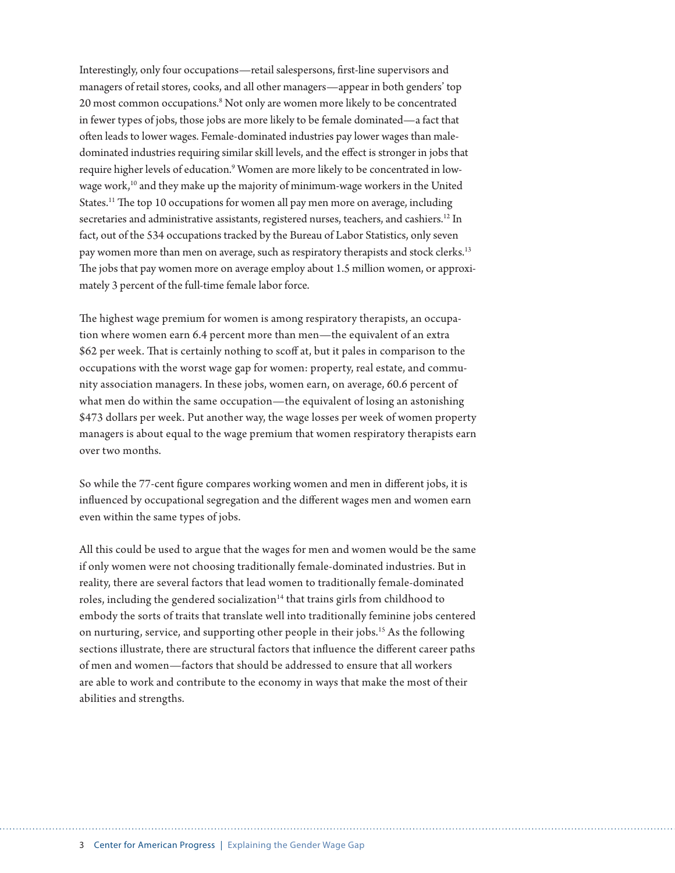Interestingly, only four occupations—retail salespersons, first-line supervisors and managers of retail stores, cooks, and all other managers—appear in both genders' top 20 most common occupations.<sup>8</sup> Not only are women more likely to be concentrated in fewer types of jobs, those jobs are more likely to be female dominated—a fact that often leads to lower wages. Female-dominated industries pay lower wages than maledominated industries requiring similar skill levels, and the effect is stronger in jobs that require higher levels of education.<sup>9</sup> Women are more likely to be concentrated in lowwage work,10 and they make up the majority of minimum-wage workers in the United States.<sup>11</sup> The top 10 occupations for women all pay men more on average, including secretaries and administrative assistants, registered nurses, teachers, and cashiers.<sup>12</sup> In fact, out of the 534 occupations tracked by the Bureau of Labor Statistics, only seven pay women more than men on average, such as respiratory therapists and stock clerks.<sup>13</sup> The jobs that pay women more on average employ about 1.5 million women, or approximately 3 percent of the full-time female labor force.

The highest wage premium for women is among respiratory therapists, an occupation where women earn 6.4 percent more than men—the equivalent of an extra \$62 per week. That is certainly nothing to scoff at, but it pales in comparison to the occupations with the worst wage gap for women: property, real estate, and community association managers. In these jobs, women earn, on average, 60.6 percent of what men do within the same occupation—the equivalent of losing an astonishing \$473 dollars per week. Put another way, the wage losses per week of women property managers is about equal to the wage premium that women respiratory therapists earn over two months.

So while the 77-cent figure compares working women and men in different jobs, it is influenced by occupational segregation and the different wages men and women earn even within the same types of jobs.

All this could be used to argue that the wages for men and women would be the same if only women were not choosing traditionally female-dominated industries. But in reality, there are several factors that lead women to traditionally female-dominated roles, including the gendered socialization<sup>14</sup> that trains girls from childhood to embody the sorts of traits that translate well into traditionally feminine jobs centered on nurturing, service, and supporting other people in their jobs.15 As the following sections illustrate, there are structural factors that influence the different career paths of men and women—factors that should be addressed to ensure that all workers are able to work and contribute to the economy in ways that make the most of their abilities and strengths.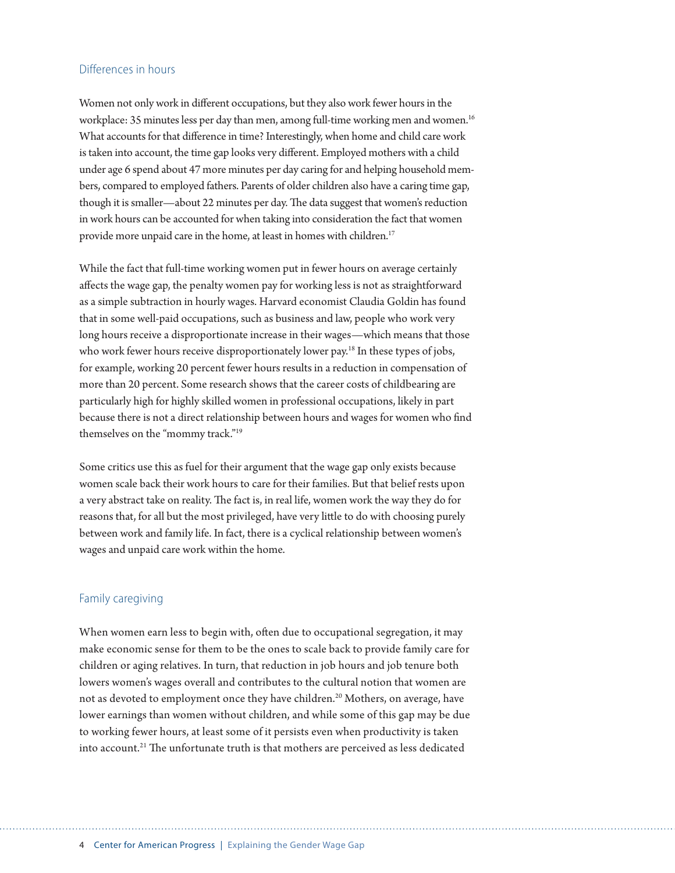#### Differences in hours

Women not only work in different occupations, but they also work fewer hours in the workplace: 35 minutes less per day than men, among full-time working men and women.<sup>16</sup> What accounts for that difference in time? Interestingly, when home and child care work is taken into account, the time gap looks very different. Employed mothers with a child under age 6 spend about 47 more minutes per day caring for and helping household members, compared to employed fathers. Parents of older children also have a caring time gap, though it is smaller—about 22 minutes per day. The data suggest that women's reduction in work hours can be accounted for when taking into consideration the fact that women provide more unpaid care in the home, at least in homes with children.<sup>17</sup>

While the fact that full-time working women put in fewer hours on average certainly affects the wage gap, the penalty women pay for working less is not as straightforward as a simple subtraction in hourly wages. Harvard economist Claudia Goldin has found that in some well-paid occupations, such as business and law, people who work very long hours receive a disproportionate increase in their wages—which means that those who work fewer hours receive disproportionately lower pay.<sup>18</sup> In these types of jobs, for example, working 20 percent fewer hours results in a reduction in compensation of more than 20 percent. Some research shows that the career costs of childbearing are particularly high for highly skilled women in professional occupations, likely in part because there is not a direct relationship between hours and wages for women who find themselves on the "mommy track."19

Some critics use this as fuel for their argument that the wage gap only exists because women scale back their work hours to care for their families. But that belief rests upon a very abstract take on reality. The fact is, in real life, women work the way they do for reasons that, for all but the most privileged, have very little to do with choosing purely between work and family life. In fact, there is a cyclical relationship between women's wages and unpaid care work within the home.

#### Family caregiving

When women earn less to begin with, often due to occupational segregation, it may make economic sense for them to be the ones to scale back to provide family care for children or aging relatives. In turn, that reduction in job hours and job tenure both lowers women's wages overall and contributes to the cultural notion that women are not as devoted to employment once they have children.<sup>20</sup> Mothers, on average, have lower earnings than women without children, and while some of this gap may be due to working fewer hours, at least some of it persists even when productivity is taken into account.<sup>21</sup> The unfortunate truth is that mothers are perceived as less dedicated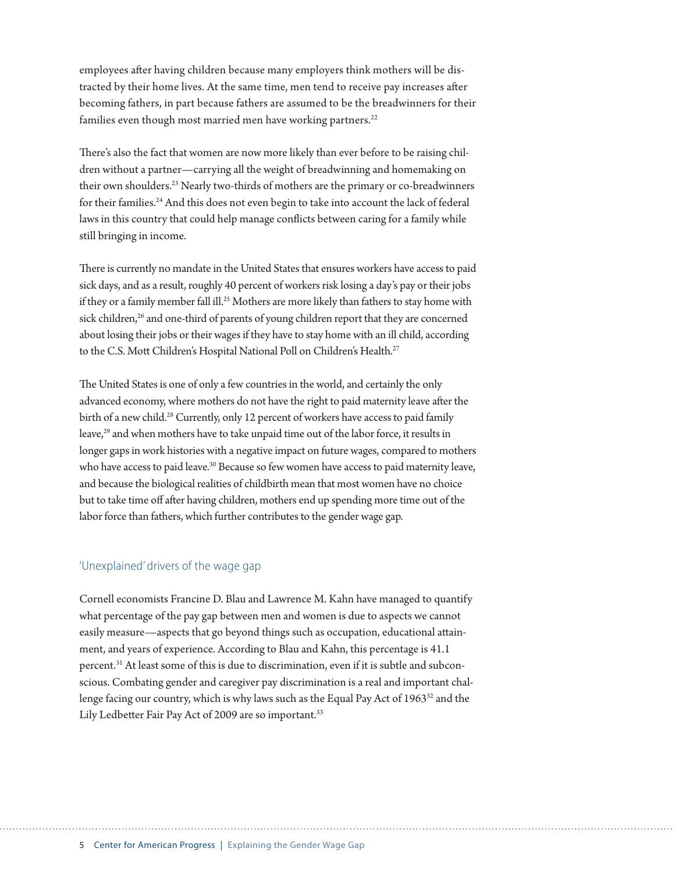employees after having children because many employers think mothers will be distracted by their home lives. At the same time, men tend to receive pay increases after becoming fathers, in part because fathers are assumed to be the breadwinners for their families even though most married men have working partners. $22$ 

There's also the fact that women are now more likely than ever before to be raising children without a partner—carrying all the weight of breadwinning and homemaking on their own shoulders.<sup>23</sup> Nearly two-thirds of mothers are the primary or co-breadwinners for their families.<sup>24</sup> And this does not even begin to take into account the lack of federal laws in this country that could help manage conflicts between caring for a family while still bringing in income.

There is currently no mandate in the United States that ensures workers have access to paid sick days, and as a result, roughly 40 percent of workers risk losing a day's pay or their jobs if they or a family member fall ill.<sup>25</sup> Mothers are more likely than fathers to stay home with sick children,<sup>26</sup> and one-third of parents of young children report that they are concerned about losing their jobs or their wages if they have to stay home with an ill child, according to the C.S. Mott Children's Hospital National Poll on Children's Health.<sup>27</sup>

The United States is one of only a few countries in the world, and certainly the only advanced economy, where mothers do not have the right to paid maternity leave after the birth of a new child.<sup>28</sup> Currently, only 12 percent of workers have access to paid family leave,<sup>29</sup> and when mothers have to take unpaid time out of the labor force, it results in longer gaps in work histories with a negative impact on future wages, compared to mothers who have access to paid leave.<sup>30</sup> Because so few women have access to paid maternity leave, and because the biological realities of childbirth mean that most women have no choice but to take time off after having children, mothers end up spending more time out of the labor force than fathers, which further contributes to the gender wage gap.

#### 'Unexplained' drivers of the wage gap

Cornell economists Francine D. Blau and Lawrence M. Kahn have managed to quantify what percentage of the pay gap between men and women is due to aspects we cannot easily measure—aspects that go beyond things such as occupation, educational attainment, and years of experience. According to Blau and Kahn, this percentage is 41.1 percent.31 At least some of this is due to discrimination, even if it is subtle and subconscious. Combating gender and caregiver pay discrimination is a real and important challenge facing our country, which is why laws such as the Equal Pay Act of 1963<sup>32</sup> and the Lily Ledbetter Fair Pay Act of 2009 are so important.<sup>33</sup>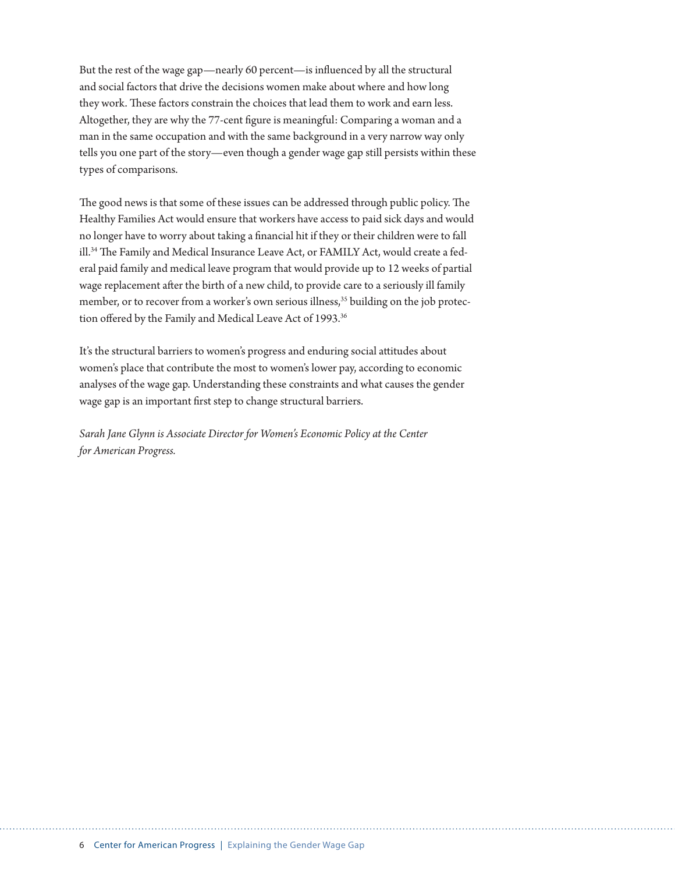But the rest of the wage gap—nearly 60 percent—is influenced by all the structural and social factors that drive the decisions women make about where and how long they work. These factors constrain the choices that lead them to work and earn less. Altogether, they are why the 77-cent figure is meaningful: Comparing a woman and a man in the same occupation and with the same background in a very narrow way only tells you one part of the story—even though a gender wage gap still persists within these types of comparisons.

The good news is that some of these issues can be addressed through public policy. The Healthy Families Act would ensure that workers have access to paid sick days and would no longer have to worry about taking a financial hit if they or their children were to fall ill.<sup>34</sup> The Family and Medical Insurance Leave Act, or FAMILY Act, would create a federal paid family and medical leave program that would provide up to 12 weeks of partial wage replacement after the birth of a new child, to provide care to a seriously ill family member, or to recover from a worker's own serious illness,<sup>35</sup> building on the job protection offered by the Family and Medical Leave Act of 1993.<sup>36</sup>

It's the structural barriers to women's progress and enduring social attitudes about women's place that contribute the most to women's lower pay, according to economic analyses of the wage gap. Understanding these constraints and what causes the gender wage gap is an important first step to change structural barriers.

*Sarah Jane Glynn is Associate Director for Women's Economic Policy at the Center for American Progress.*